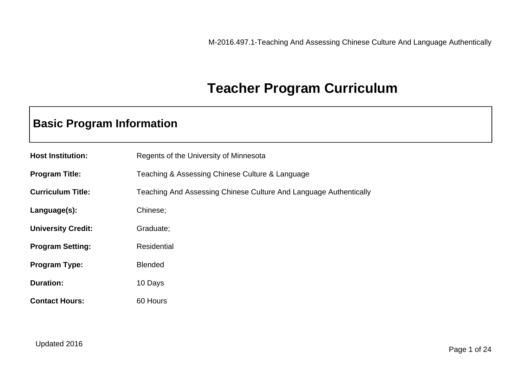### **Teacher Program Curriculum**

### **Basic Program Information**

| <b>Host Institution:</b>  | Regents of the University of Minnesota                            |
|---------------------------|-------------------------------------------------------------------|
| <b>Program Title:</b>     | Teaching & Assessing Chinese Culture & Language                   |
| <b>Curriculum Title:</b>  | Teaching And Assessing Chinese Culture And Language Authentically |
| Language(s):              | Chinese;                                                          |
| <b>University Credit:</b> | Graduate;                                                         |
| <b>Program Setting:</b>   | <b>Residential</b>                                                |
| <b>Program Type:</b>      | <b>Blended</b>                                                    |
| <b>Duration:</b>          | 10 Days                                                           |
| <b>Contact Hours:</b>     | 60 Hours                                                          |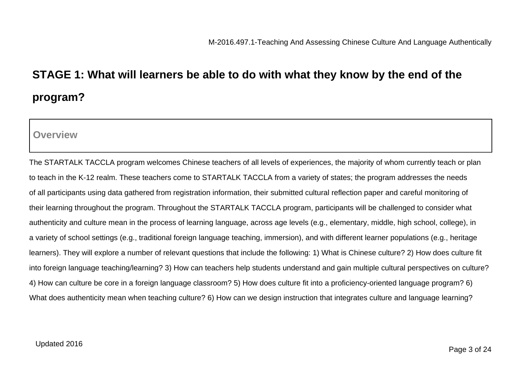# **STAGE 1: What will learners be able to do with what they know by the end of the program?**

**Overview**

The STARTALK TACCLA program welcomes Chinese teachers of all levels of experiences, the majority of whom currently teach or plan to teach in the K-12 realm. These teachers come to STARTALK TACCLA from a variety of states; the program addresses the needs of all participants using data gathered from registration information, their submitted cultural reflection paper and careful monitoring of their learning throughout the program. Throughout the STARTALK TACCLA program, participants will be challenged to consider what authenticity and culture mean in the process of learning language, across age levels (e.g., elementary, middle, high school, college), in a variety of school settings (e.g., traditional foreign language teaching, immersion), and with different learner populations (e.g., heritage learners). They will explore a number of relevant questions that include the following: 1) What is Chinese culture? 2) How does culture fit into foreign language teaching/learning? 3) How can teachers help students understand and gain multiple cultural perspectives on culture? 4) How can culture be core in a foreign language classroom? 5) How does culture fit into a proficiency-oriented language program? 6) What does authenticity mean when teaching culture? 6) How can we design instruction that integrates culture and language learning?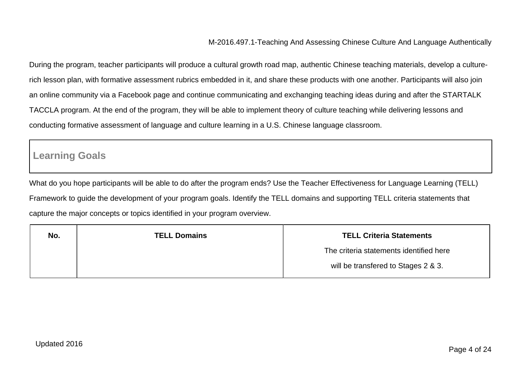During the program, teacher participants will produce a cultural growth road map, authentic Chinese teaching materials, develop a culturerich lesson plan, with formative assessment rubrics embedded in it, and share these products with one another. Participants will also join an online community via a Facebook page and continue communicating and exchanging teaching ideas during and after the STARTALK TACCLA program. At the end of the program, they will be able to implement theory of culture teaching while delivering lessons and conducting formative assessment of language and culture learning in a U.S. Chinese language classroom.

### **Learning Goals**

What do you hope participants will be able to do after the program ends? Use the Teacher Effectiveness for Language Learning (TELL) Framework to guide the development of your program goals. Identify the TELL domains and supporting TELL criteria statements that capture the major concepts or topics identified in your program overview.

| No. | <b>TELL Domains</b> | <b>TELL Criteria Statements</b>         |  |
|-----|---------------------|-----------------------------------------|--|
|     |                     | The criteria statements identified here |  |
|     |                     | will be transfered to Stages 2 & 3.     |  |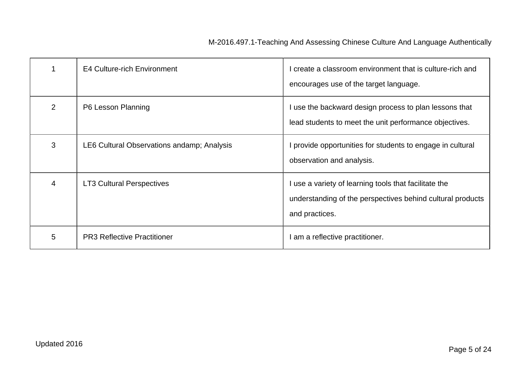|               | <b>E4 Culture-rich Environment</b>         | create a classroom environment that is culture-rich and<br>encourages use of the target language.                                     |
|---------------|--------------------------------------------|---------------------------------------------------------------------------------------------------------------------------------------|
| $\mathcal{P}$ | P6 Lesson Planning                         | use the backward design process to plan lessons that<br>lead students to meet the unit performance objectives.                        |
| 3             | LE6 Cultural Observations andamp; Analysis | provide opportunities for students to engage in cultural<br>observation and analysis.                                                 |
| 4             | <b>LT3 Cultural Perspectives</b>           | I use a variety of learning tools that facilitate the<br>understanding of the perspectives behind cultural products<br>and practices. |
| 5             | <b>PR3 Reflective Practitioner</b>         | am a reflective practitioner.                                                                                                         |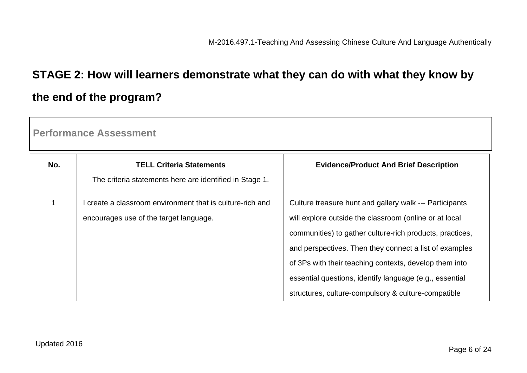# **STAGE 2: How will learners demonstrate what they can do with what they know by the end of the program?**

| No. | <b>TELL Criteria Statements</b><br>The criteria statements here are identified in Stage 1.          | <b>Evidence/Product And Brief Description</b>                                                                                                                                                                                                                                                                                                                                                                       |
|-----|-----------------------------------------------------------------------------------------------------|---------------------------------------------------------------------------------------------------------------------------------------------------------------------------------------------------------------------------------------------------------------------------------------------------------------------------------------------------------------------------------------------------------------------|
|     | I create a classroom environment that is culture-rich and<br>encourages use of the target language. | Culture treasure hunt and gallery walk --- Participants<br>will explore outside the classroom (online or at local<br>communities) to gather culture-rich products, practices,<br>and perspectives. Then they connect a list of examples<br>of 3Ps with their teaching contexts, develop them into<br>essential questions, identify language (e.g., essential<br>structures, culture-compulsory & culture-compatible |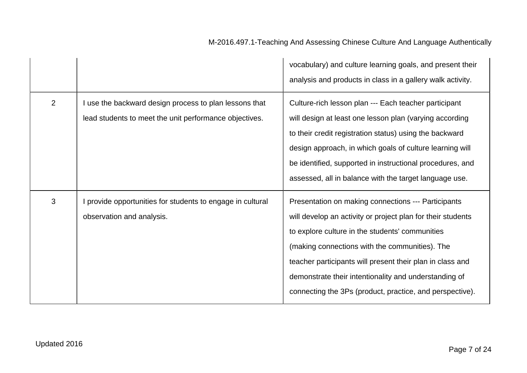|   |                                                                                                                | vocabulary) and culture learning goals, and present their<br>analysis and products in class in a gallery walk activity.                                                                                                                                                                                                                                                                                   |
|---|----------------------------------------------------------------------------------------------------------------|-----------------------------------------------------------------------------------------------------------------------------------------------------------------------------------------------------------------------------------------------------------------------------------------------------------------------------------------------------------------------------------------------------------|
| 2 | use the backward design process to plan lessons that<br>lead students to meet the unit performance objectives. | Culture-rich lesson plan --- Each teacher participant<br>will design at least one lesson plan (varying according<br>to their credit registration status) using the backward<br>design approach, in which goals of culture learning will<br>be identified, supported in instructional procedures, and<br>assessed, all in balance with the target language use.                                            |
| 3 | provide opportunities for students to engage in cultural<br>observation and analysis.                          | Presentation on making connections --- Participants<br>will develop an activity or project plan for their students<br>to explore culture in the students' communities<br>(making connections with the communities). The<br>teacher participants will present their plan in class and<br>demonstrate their intentionality and understanding of<br>connecting the 3Ps (product, practice, and perspective). |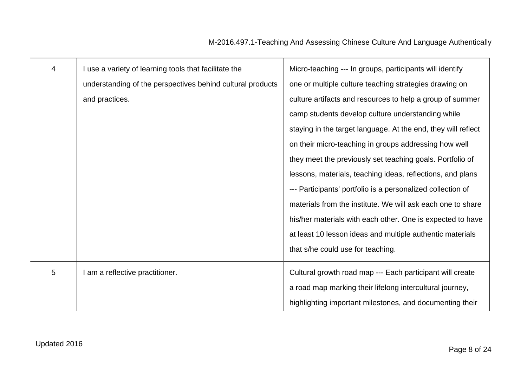| $\overline{4}$ | I use a variety of learning tools that facilitate the      | Micro-teaching --- In groups, participants will identify      |
|----------------|------------------------------------------------------------|---------------------------------------------------------------|
|                | understanding of the perspectives behind cultural products | one or multiple culture teaching strategies drawing on        |
|                | and practices.                                             | culture artifacts and resources to help a group of summer     |
|                |                                                            | camp students develop culture understanding while             |
|                |                                                            | staying in the target language. At the end, they will reflect |
|                |                                                            | on their micro-teaching in groups addressing how well         |
|                |                                                            | they meet the previously set teaching goals. Portfolio of     |
|                |                                                            | lessons, materials, teaching ideas, reflections, and plans    |
|                |                                                            | --- Participants' portfolio is a personalized collection of   |
|                |                                                            | materials from the institute. We will ask each one to share   |
|                |                                                            | his/her materials with each other. One is expected to have    |
|                |                                                            | at least 10 lesson ideas and multiple authentic materials     |
|                |                                                            | that s/he could use for teaching.                             |
| 5              | am a reflective practitioner.                              | Cultural growth road map --- Each participant will create     |
|                |                                                            | a road map marking their lifelong intercultural journey,      |
|                |                                                            | highlighting important milestones, and documenting their      |
|                |                                                            |                                                               |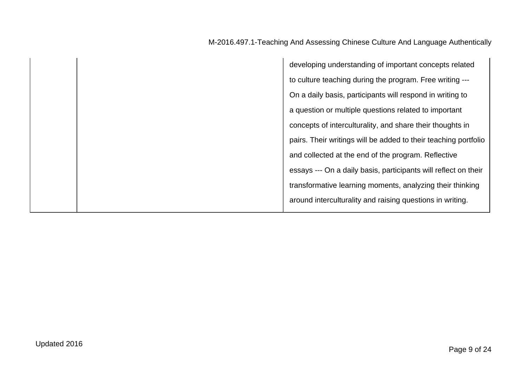developing understanding of important concepts related to culture teaching during the program. Free writing --- On a daily basis, participants will respond in writing to a question or multiple questions related to important concepts of interculturality, and share their thoughts in pairs. Their writings will be added to their teaching portfolio and collected at the end of the program. Reflective essays --- On a daily basis, participants will reflect on their transformative learning moments, analyzing their thinking around interculturality and raising questions in writing.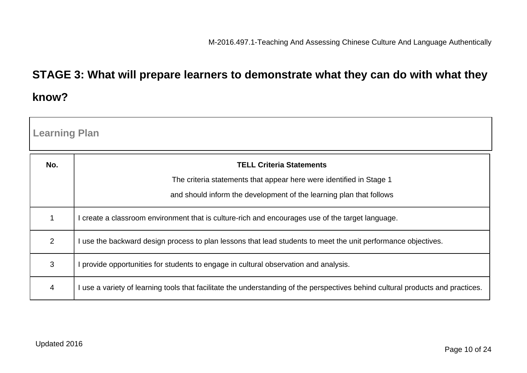## **STAGE 3: What will prepare learners to demonstrate what they can do with what they know?**

| <b>Learning Plan</b> |                                                                                                                                 |  |  |
|----------------------|---------------------------------------------------------------------------------------------------------------------------------|--|--|
| No.                  | <b>TELL Criteria Statements</b>                                                                                                 |  |  |
|                      | The criteria statements that appear here were identified in Stage 1                                                             |  |  |
|                      | and should inform the development of the learning plan that follows                                                             |  |  |
| 1                    | I create a classroom environment that is culture-rich and encourages use of the target language.                                |  |  |
| 2                    | I use the backward design process to plan lessons that lead students to meet the unit performance objectives.                   |  |  |
| 3                    | provide opportunities for students to engage in cultural observation and analysis.                                              |  |  |
| $\overline{4}$       | I use a variety of learning tools that facilitate the understanding of the perspectives behind cultural products and practices. |  |  |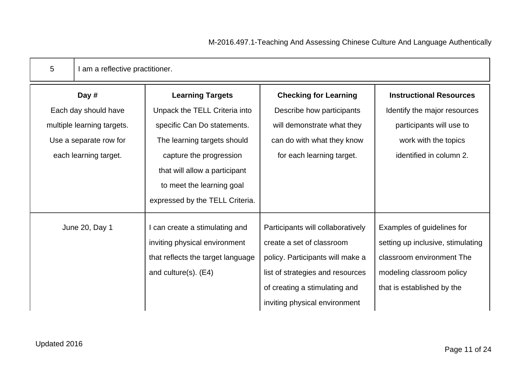| I am a reflective practitioner.   |                                   |                                   |
|-----------------------------------|-----------------------------------|-----------------------------------|
| <b>Learning Targets</b>           | <b>Checking for Learning</b>      | <b>Instructional Resources</b>    |
| Unpack the TELL Criteria into     | Describe how participants         | Identify the major resources      |
| specific Can Do statements.       | will demonstrate what they        | participants will use to          |
| The learning targets should       | can do with what they know        | work with the topics              |
| capture the progression           | for each learning target.         | identified in column 2.           |
| that will allow a participant     |                                   |                                   |
| to meet the learning goal         |                                   |                                   |
| expressed by the TELL Criteria.   |                                   |                                   |
| I can create a stimulating and    | Participants will collaboratively | Examples of guidelines for        |
| inviting physical environment     | create a set of classroom         | setting up inclusive, stimulating |
| that reflects the target language | policy. Participants will make a  | classroom environment The         |
| and culture(s). $(E4)$            | list of strategies and resources  | modeling classroom policy         |
|                                   | of creating a stimulating and     | that is established by the        |
|                                   | inviting physical environment     |                                   |
|                                   |                                   |                                   |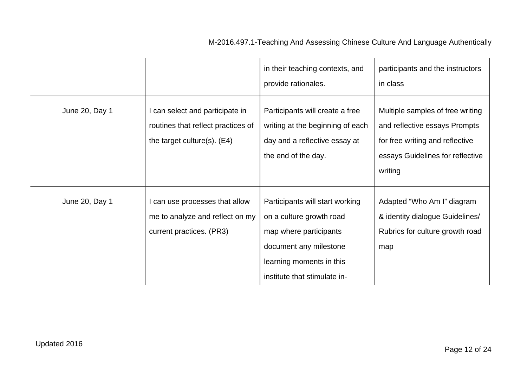|                |                                                                                                        | in their teaching contexts, and<br>provide rationales.                                                                                                                      | participants and the instructors<br>in class                                                                                                        |
|----------------|--------------------------------------------------------------------------------------------------------|-----------------------------------------------------------------------------------------------------------------------------------------------------------------------------|-----------------------------------------------------------------------------------------------------------------------------------------------------|
| June 20, Day 1 | I can select and participate in<br>routines that reflect practices of<br>the target culture(s). $(E4)$ | Participants will create a free<br>writing at the beginning of each<br>day and a reflective essay at<br>the end of the day.                                                 | Multiple samples of free writing<br>and reflective essays Prompts<br>for free writing and reflective<br>essays Guidelines for reflective<br>writing |
| June 20, Day 1 | I can use processes that allow<br>me to analyze and reflect on my<br>current practices. (PR3)          | Participants will start working<br>on a culture growth road<br>map where participants<br>document any milestone<br>learning moments in this<br>institute that stimulate in- | Adapted "Who Am I" diagram<br>& identity dialogue Guidelines/<br>Rubrics for culture growth road<br>map                                             |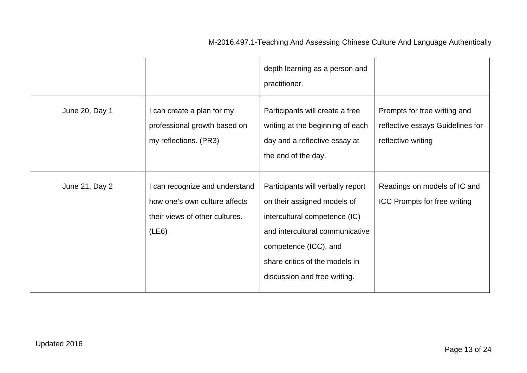|                |                                                                                                            | depth learning as a person and<br>practitioner.                                                                                                                                                                                 |                                                                                        |
|----------------|------------------------------------------------------------------------------------------------------------|---------------------------------------------------------------------------------------------------------------------------------------------------------------------------------------------------------------------------------|----------------------------------------------------------------------------------------|
| June 20, Day 1 | I can create a plan for my<br>professional growth based on<br>my reflections. (PR3)                        | Participants will create a free<br>writing at the beginning of each<br>day and a reflective essay at<br>the end of the day.                                                                                                     | Prompts for free writing and<br>reflective essays Guidelines for<br>reflective writing |
| June 21, Day 2 | I can recognize and understand<br>how one's own culture affects<br>their views of other cultures.<br>(LE6) | Participants will verbally report<br>on their assigned models of<br>intercultural competence (IC)<br>and intercultural communicative<br>competence (ICC), and<br>share critics of the models in<br>discussion and free writing. | Readings on models of IC and<br><b>ICC Prompts for free writing</b>                    |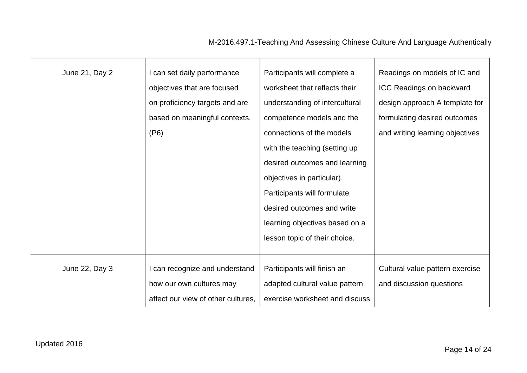| June 21, Day 2 | can set daily performance<br>objectives that are focused<br>on proficiency targets and are<br>based on meaningful contexts.<br>(P6) | Participants will complete a<br>worksheet that reflects their<br>understanding of intercultural<br>competence models and the<br>connections of the models<br>with the teaching (setting up<br>desired outcomes and learning<br>objectives in particular).<br>Participants will formulate<br>desired outcomes and write | Readings on models of IC and<br>ICC Readings on backward<br>design approach A template for<br>formulating desired outcomes<br>and writing learning objectives |
|----------------|-------------------------------------------------------------------------------------------------------------------------------------|------------------------------------------------------------------------------------------------------------------------------------------------------------------------------------------------------------------------------------------------------------------------------------------------------------------------|---------------------------------------------------------------------------------------------------------------------------------------------------------------|
|                |                                                                                                                                     | learning objectives based on a<br>lesson topic of their choice.                                                                                                                                                                                                                                                        |                                                                                                                                                               |
| June 22, Day 3 | can recognize and understand<br>how our own cultures may<br>affect our view of other cultures,                                      | Participants will finish an<br>adapted cultural value pattern<br>exercise worksheet and discuss                                                                                                                                                                                                                        | Cultural value pattern exercise<br>and discussion questions                                                                                                   |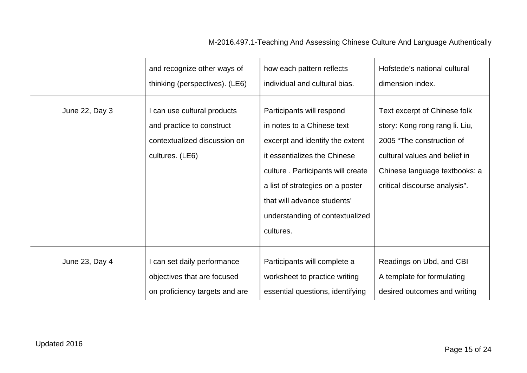|                | and recognize other ways of                                                                                 | how each pattern reflects                                                                                                                                                                                                                                                          | Hofstede's national cultural                                                                                                                                                                   |
|----------------|-------------------------------------------------------------------------------------------------------------|------------------------------------------------------------------------------------------------------------------------------------------------------------------------------------------------------------------------------------------------------------------------------------|------------------------------------------------------------------------------------------------------------------------------------------------------------------------------------------------|
|                | thinking (perspectives). (LE6)                                                                              | individual and cultural bias.                                                                                                                                                                                                                                                      | dimension index.                                                                                                                                                                               |
| June 22, Day 3 | I can use cultural products<br>and practice to construct<br>contextualized discussion on<br>cultures. (LE6) | Participants will respond<br>in notes to a Chinese text<br>excerpt and identify the extent<br>it essentializes the Chinese<br>culture. Participants will create<br>a list of strategies on a poster<br>that will advance students'<br>understanding of contextualized<br>cultures. | Text excerpt of Chinese folk<br>story: Kong rong rang li. Liu,<br>2005 "The construction of<br>cultural values and belief in<br>Chinese language textbooks: a<br>critical discourse analysis". |
| June 23, Day 4 | I can set daily performance                                                                                 | Participants will complete a                                                                                                                                                                                                                                                       | Readings on Ubd, and CBI                                                                                                                                                                       |
|                | objectives that are focused                                                                                 | worksheet to practice writing                                                                                                                                                                                                                                                      | A template for formulating                                                                                                                                                                     |
|                | on proficiency targets and are                                                                              | essential questions, identifying                                                                                                                                                                                                                                                   | desired outcomes and writing                                                                                                                                                                   |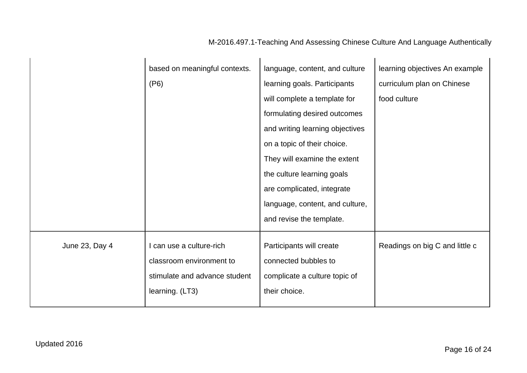|                | based on meaningful contexts. | language, content, and culture  | learning objectives An example |
|----------------|-------------------------------|---------------------------------|--------------------------------|
|                | (P6)                          | learning goals. Participants    | curriculum plan on Chinese     |
|                |                               | will complete a template for    | food culture                   |
|                |                               | formulating desired outcomes    |                                |
|                |                               | and writing learning objectives |                                |
|                |                               | on a topic of their choice.     |                                |
|                |                               | They will examine the extent    |                                |
|                |                               | the culture learning goals      |                                |
|                |                               | are complicated, integrate      |                                |
|                |                               | language, content, and culture, |                                |
|                |                               | and revise the template.        |                                |
| June 23, Day 4 | I can use a culture-rich      | Participants will create        | Readings on big C and little c |
|                | classroom environment to      | connected bubbles to            |                                |
|                | stimulate and advance student | complicate a culture topic of   |                                |
|                | learning. (LT3)               | their choice.                   |                                |
|                |                               |                                 |                                |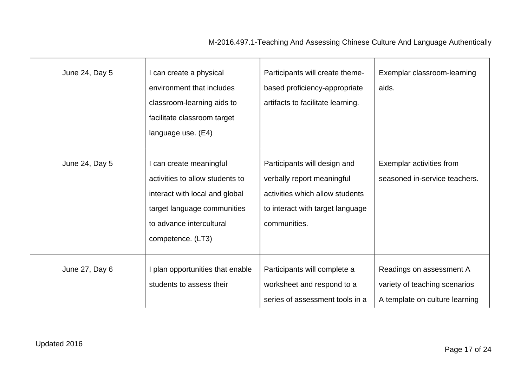| June 24, Day 5 | I can create a physical<br>environment that includes<br>classroom-learning aids to<br>facilitate classroom target<br>language use. (E4)                                      | Participants will create theme-<br>based proficiency-appropriate<br>artifacts to facilitate learning.                                             | Exemplar classroom-learning<br>aids.                                                        |
|----------------|------------------------------------------------------------------------------------------------------------------------------------------------------------------------------|---------------------------------------------------------------------------------------------------------------------------------------------------|---------------------------------------------------------------------------------------------|
| June 24, Day 5 | I can create meaningful<br>activities to allow students to<br>interact with local and global<br>target language communities<br>to advance intercultural<br>competence. (LT3) | Participants will design and<br>verbally report meaningful<br>activities which allow students<br>to interact with target language<br>communities. | Exemplar activities from<br>seasoned in-service teachers.                                   |
| June 27, Day 6 | I plan opportunities that enable<br>students to assess their                                                                                                                 | Participants will complete a<br>worksheet and respond to a<br>series of assessment tools in a                                                     | Readings on assessment A<br>variety of teaching scenarios<br>A template on culture learning |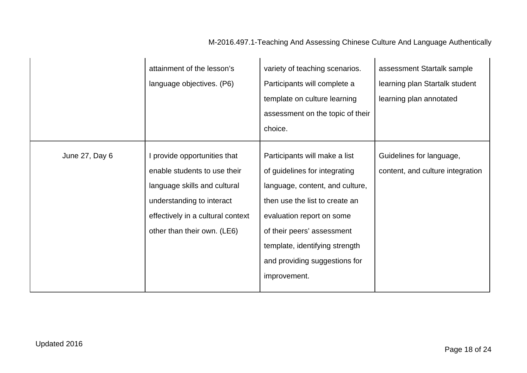|                | attainment of the lesson's<br>language objectives. (P6)                                                                                                                                       | variety of teaching scenarios.<br>Participants will complete a<br>template on culture learning<br>assessment on the topic of their<br>choice.                                                                                                                                     | assessment Startalk sample<br>learning plan Startalk student<br>learning plan annotated |
|----------------|-----------------------------------------------------------------------------------------------------------------------------------------------------------------------------------------------|-----------------------------------------------------------------------------------------------------------------------------------------------------------------------------------------------------------------------------------------------------------------------------------|-----------------------------------------------------------------------------------------|
| June 27, Day 6 | I provide opportunities that<br>enable students to use their<br>language skills and cultural<br>understanding to interact<br>effectively in a cultural context<br>other than their own. (LE6) | Participants will make a list<br>of guidelines for integrating<br>language, content, and culture,<br>then use the list to create an<br>evaluation report on some<br>of their peers' assessment<br>template, identifying strength<br>and providing suggestions for<br>improvement. | Guidelines for language,<br>content, and culture integration                            |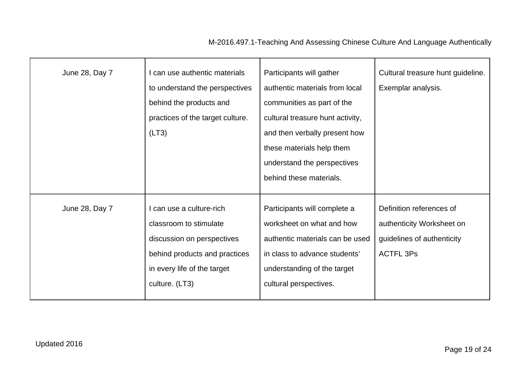| June 28, Day 7 | I can use authentic materials<br>to understand the perspectives<br>behind the products and<br>practices of the target culture.<br>(LT3)                            | Participants will gather<br>authentic materials from local<br>communities as part of the<br>cultural treasure hunt activity,<br>and then verbally present how<br>these materials help them<br>understand the perspectives<br>behind these materials. | Cultural treasure hunt guideline.<br>Exemplar analysis.                                                 |
|----------------|--------------------------------------------------------------------------------------------------------------------------------------------------------------------|------------------------------------------------------------------------------------------------------------------------------------------------------------------------------------------------------------------------------------------------------|---------------------------------------------------------------------------------------------------------|
| June 28, Day 7 | I can use a culture-rich<br>classroom to stimulate<br>discussion on perspectives<br>behind products and practices<br>in every life of the target<br>culture. (LT3) | Participants will complete a<br>worksheet on what and how<br>authentic materials can be used<br>in class to advance students'<br>understanding of the target<br>cultural perspectives.                                                               | Definition references of<br>authenticity Worksheet on<br>guidelines of authenticity<br><b>ACTFL 3Ps</b> |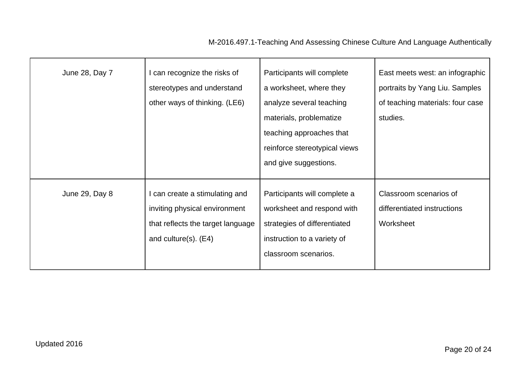| June 28, Day 7 | I can recognize the risks of<br>stereotypes and understand<br>other ways of thinking. (LE6)                                        | Participants will complete<br>a worksheet, where they<br>analyze several teaching<br>materials, problematize<br>teaching approaches that<br>reinforce stereotypical views<br>and give suggestions. | East meets west: an infographic<br>portraits by Yang Liu. Samples<br>of teaching materials: four case<br>studies. |
|----------------|------------------------------------------------------------------------------------------------------------------------------------|----------------------------------------------------------------------------------------------------------------------------------------------------------------------------------------------------|-------------------------------------------------------------------------------------------------------------------|
| June 29, Day 8 | I can create a stimulating and<br>inviting physical environment<br>that reflects the target language<br>and culture $(s)$ . $(E4)$ | Participants will complete a<br>worksheet and respond with<br>strategies of differentiated<br>instruction to a variety of<br>classroom scenarios.                                                  | Classroom scenarios of<br>differentiated instructions<br>Worksheet                                                |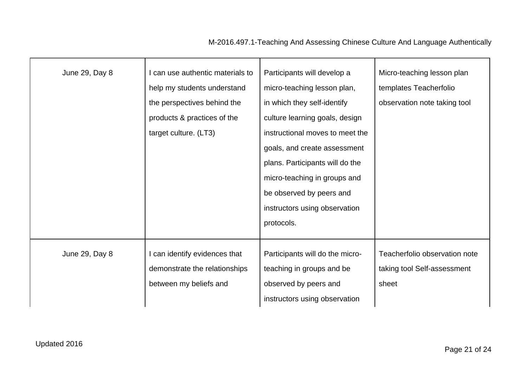| June 29, Day 8 | can use authentic materials to<br>help my students understand<br>the perspectives behind the<br>products & practices of the<br>target culture. (LT3) | Participants will develop a<br>micro-teaching lesson plan,<br>in which they self-identify<br>culture learning goals, design<br>instructional moves to meet the<br>goals, and create assessment<br>plans. Participants will do the<br>micro-teaching in groups and<br>be observed by peers and<br>instructors using observation<br>protocols. | Micro-teaching lesson plan<br>templates Teacherfolio<br>observation note taking tool |
|----------------|------------------------------------------------------------------------------------------------------------------------------------------------------|----------------------------------------------------------------------------------------------------------------------------------------------------------------------------------------------------------------------------------------------------------------------------------------------------------------------------------------------|--------------------------------------------------------------------------------------|
| June 29, Day 8 | I can identify evidences that<br>demonstrate the relationships                                                                                       | Participants will do the micro-<br>teaching in groups and be                                                                                                                                                                                                                                                                                 | Teacherfolio observation note<br>taking tool Self-assessment                         |
|                | between my beliefs and                                                                                                                               | observed by peers and<br>instructors using observation                                                                                                                                                                                                                                                                                       | sheet                                                                                |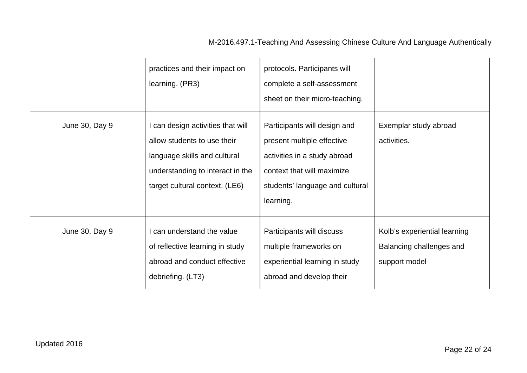|                | practices and their impact on<br>learning. (PR3)                                                                                                                       | protocols. Participants will<br>complete a self-assessment<br>sheet on their micro-teaching.                                                                             |                                                                           |
|----------------|------------------------------------------------------------------------------------------------------------------------------------------------------------------------|--------------------------------------------------------------------------------------------------------------------------------------------------------------------------|---------------------------------------------------------------------------|
| June 30, Day 9 | I can design activities that will<br>allow students to use their<br>language skills and cultural<br>understanding to interact in the<br>target cultural context. (LE6) | Participants will design and<br>present multiple effective<br>activities in a study abroad<br>context that will maximize<br>students' language and cultural<br>learning. | Exemplar study abroad<br>activities.                                      |
| June 30, Day 9 | I can understand the value<br>of reflective learning in study<br>abroad and conduct effective<br>debriefing. (LT3)                                                     | Participants will discuss<br>multiple frameworks on<br>experiential learning in study<br>abroad and develop their                                                        | Kolb's experiential learning<br>Balancing challenges and<br>support model |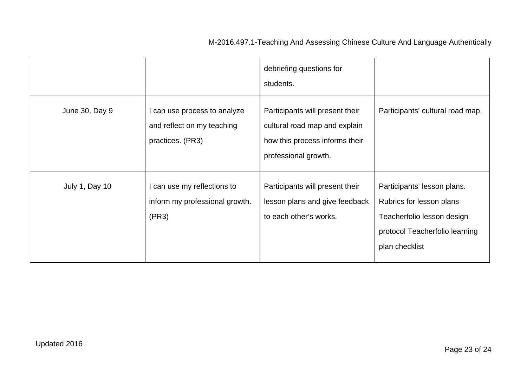|                |                                                                                | debriefing questions for<br>students.                                                                                      |                                                                                                                                           |
|----------------|--------------------------------------------------------------------------------|----------------------------------------------------------------------------------------------------------------------------|-------------------------------------------------------------------------------------------------------------------------------------------|
| June 30, Day 9 | I can use process to analyze<br>and reflect on my teaching<br>practices. (PR3) | Participants will present their<br>cultural road map and explain<br>how this process informs their<br>professional growth. | Participants' cultural road map.                                                                                                          |
| July 1, Day 10 | I can use my reflections to<br>inform my professional growth.<br>(PR3)         | Participants will present their<br>lesson plans and give feedback<br>to each other's works.                                | Participants' lesson plans.<br>Rubrics for lesson plans<br>Teacherfolio lesson design<br>protocol Teacherfolio learning<br>plan checklist |